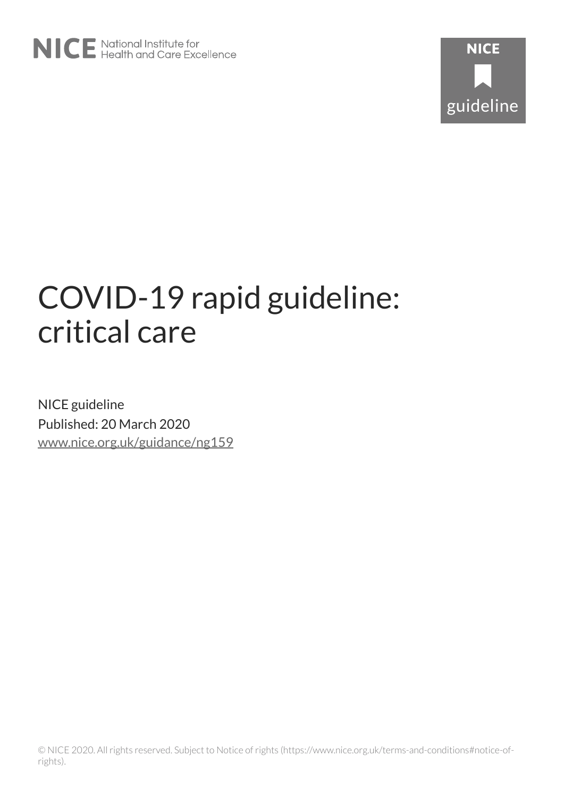# COVID-19 rapid guideline: critical care

NICE guideline Published: 20 March 2020 [www.nice.org.uk/guidance/ng159](https://www.nice.org.uk/guidance/ng159)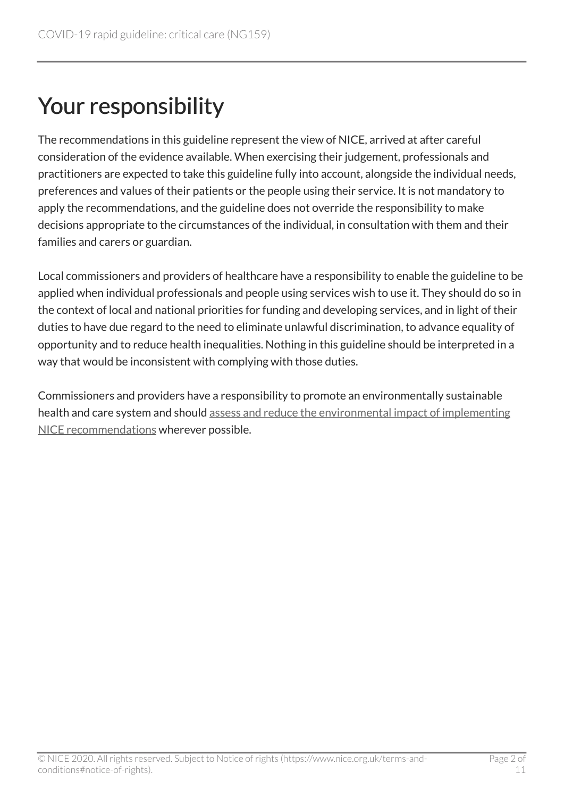# Your responsibility

The recommendations in this guideline represent the view of NICE, arrived at after careful consideration of the evidence available. When exercising their judgement, professionals and practitioners are expected to take this guideline fully into account, alongside the individual needs, preferences and values of their patients or the people using their service. It is not mandatory to apply the recommendations, and the guideline does not override the responsibility to make decisions appropriate to the circumstances of the individual, in consultation with them and their families and carers or guardian.

Local commissioners and providers of healthcare have a responsibility to enable the guideline to be applied when individual professionals and people using services wish to use it. They should do so in the context of local and national priorities for funding and developing services, and in light of their duties to have due regard to the need to eliminate unlawful discrimination, to advance equality of opportunity and to reduce health inequalities. Nothing in this guideline should be interpreted in a way that would be inconsistent with complying with those duties.

Commissioners and providers have a responsibility to promote an environmentally sustainable health and care system and should [assess and reduce the environmental impact of implementing](https://www.nice.org.uk/about/who-we-are/sustainability)  [NICE recommendations](https://www.nice.org.uk/about/who-we-are/sustainability) wherever possible.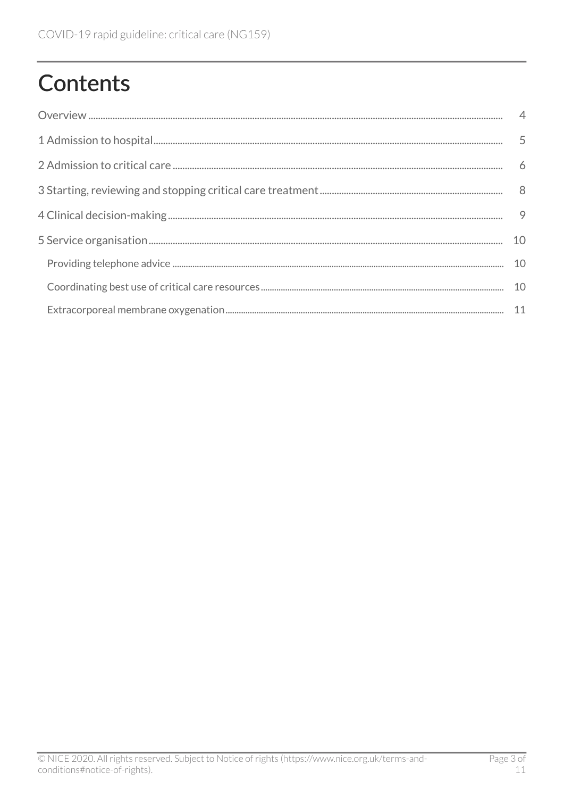# **Contents**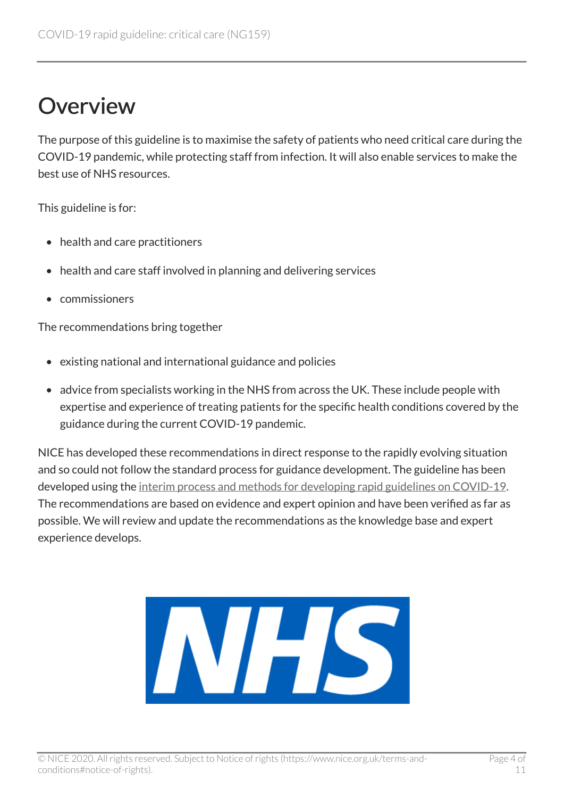# <span id="page-3-0"></span>**Overview**

The purpose of this guideline is to maximise the safety of patients who need critical care during the COVID-19 pandemic, while protecting staff from infection. It will also enable services to make the best use of NHS resources.

This guideline is for:

- health and care practitioners
- health and care staff involved in planning and delivering services
- commissioners

The recommendations bring together

- existing national and international guidance and policies
- advice from specialists working in the NHS from across the UK. These include people with expertise and experience of treating patients for the specific health conditions covered by the guidance during the current COVID-19 pandemic.

NICE has developed these recommendations in direct response to the rapidly evolving situation and so could not follow the standard process for guidance development. The guideline has been developed using the [interim process and methods for developing rapid guidelines on COVID-19](https://www.nice.org.uk/process/pmg35). The recommendations are based on evidence and expert opinion and have been verified as far as possible. We will review and update the recommendations as the knowledge base and expert experience develops.

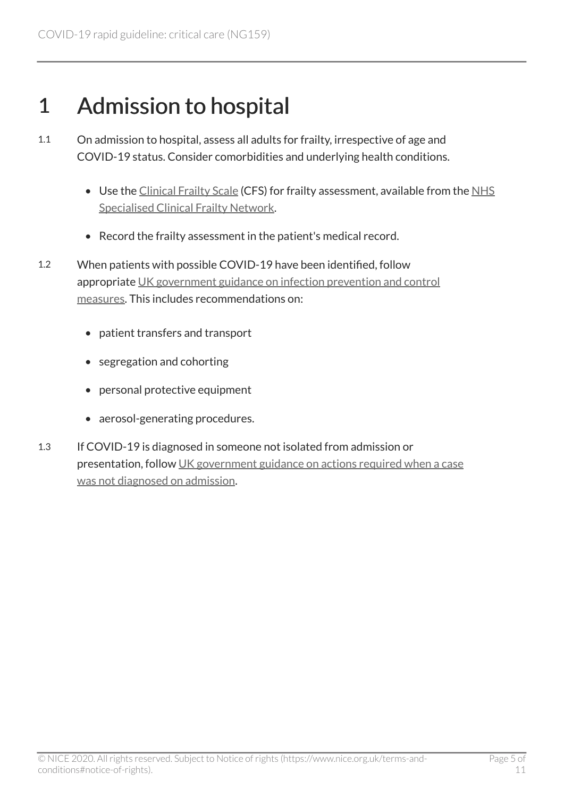### <span id="page-4-0"></span>1 Admission to hospital

- 1.1 On admission to hospital, assess all adults for frailty, irrespective of age and COVID-19 status. Consider comorbidities and underlying health conditions.
	- Use the [Clinical Frailty Scale](https://static1.squarespace.com/static/5b5f1d4e9d5abb9699cb8a75/t/5dadc90bb11ecf3bce47f27e/1571670285023/Rockwood+CFS.jpg) (CFS) for frailty assessment, available from the [NHS](https://www.scfn.org.uk/) [Specialised Clinical Frailty Network](https://www.scfn.org.uk/).
	- Record the frailty assessment in the patient's medical record.
- 1.2 When patients with possible COVID-19 have been identified, follow appropriate [UK government guidance on infection prevention and control](https://www.gov.uk/government/publications/wuhan-novel-coronavirus-infection-prevention-and-control)  [measures.](https://www.gov.uk/government/publications/wuhan-novel-coronavirus-infection-prevention-and-control) This includes recommendations on:
	- patient transfers and transport
	- segregation and cohorting
	- personal protective equipment
	- aerosol-generating procedures.
- 1.3 If COVID-19 is diagnosed in someone not isolated from admission or presentation, follow [UK government guidance on actions required when a case](https://www.gov.uk/government/publications/covid-19-guidance-for-healthcare-providers-who-have-diagnosed-a-case-within-their-facility/covid-19-actions-required-when-a-case-was-not-diagnosed-on-admission)  [was not diagnosed on admission](https://www.gov.uk/government/publications/covid-19-guidance-for-healthcare-providers-who-have-diagnosed-a-case-within-their-facility/covid-19-actions-required-when-a-case-was-not-diagnosed-on-admission).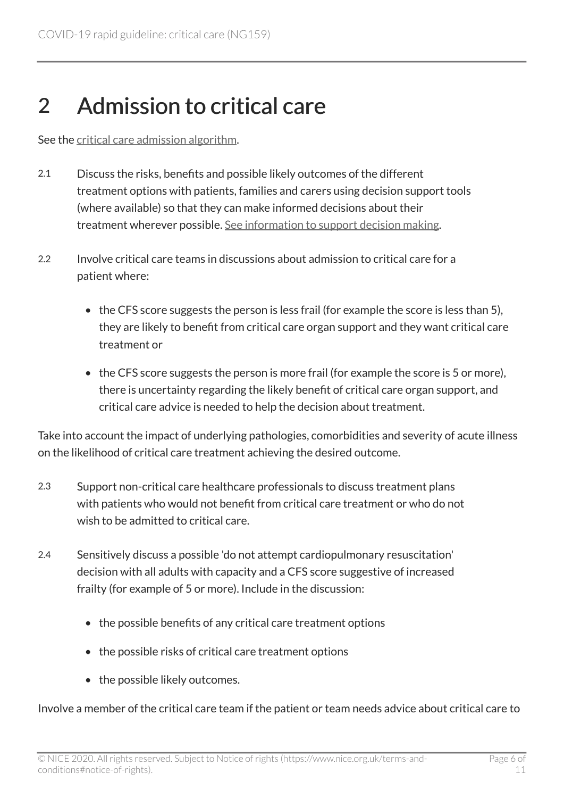# <span id="page-5-0"></span>2 Admission to critical care

See the [critical care admission algorithm](https://www.nice.org.uk/guidance/ng159/resources/critical-care-admission-algorithm-pdf-8708948893).

- 2.1 Discuss the risks, benefits and possible likely outcomes of the different treatment options with patients, families and carers using decision support tools (where available) so that they can make informed decisions about their treatment wherever possible. [See information to support decision making.](https://www.nice.org.uk/guidance/ng159/resources/information-to-support-decision-making-pdf-8708913901)
- 2.2 Involve critical care teams in discussions about admission to critical care for a patient where:
	- the CFS score suggests the person is less frail (for example the score is less than 5), they are likely to benefit from critical care organ support and they want critical care treatment or
	- the CFS score suggests the person is more frail (for example the score is 5 or more), there is uncertainty regarding the likely benefit of critical care organ support, and critical care advice is needed to help the decision about treatment.

Take into account the impact of underlying pathologies, comorbidities and severity of acute illness on the likelihood of critical care treatment achieving the desired outcome.

- 2.3 Support non-critical care healthcare professionals to discuss treatment plans with patients who would not benefit from critical care treatment or who do not wish to be admitted to critical care.
- 2.4 Sensitively discuss a possible 'do not attempt cardiopulmonary resuscitation' decision with all adults with capacity and a CFS score suggestive of increased frailty (for example of 5 or more). Include in the discussion:
	- the possible benefits of any critical care treatment options
	- the possible risks of critical care treatment options
	- the possible likely outcomes.

Involve a member of the critical care team if the patient or team needs advice about critical care to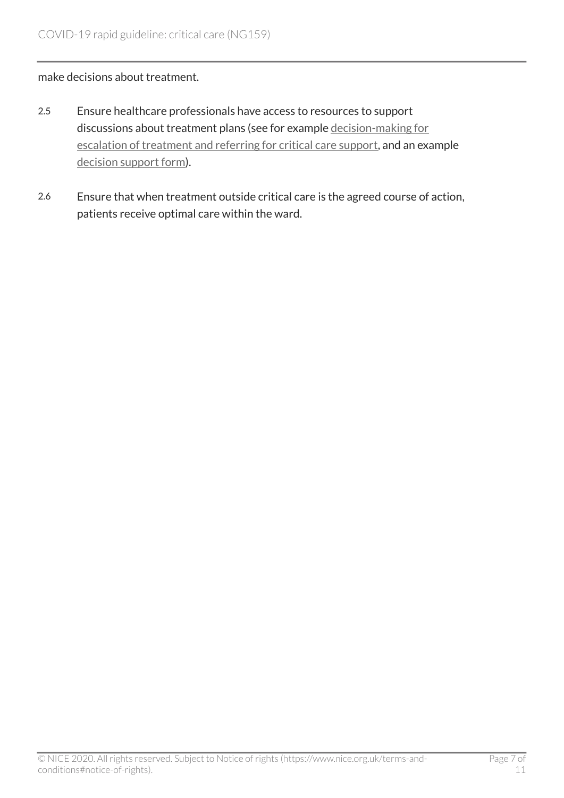#### make decisions about treatment.

- 2.5 Ensure healthcare professionals have access to resources to support discussions about treatment plans (see for example [decision-making for](https://www.ncbi.nlm.nih.gov/books/NBK549975/figure/fig15/?report=objectonly)  [escalation of treatment and referring for critical care support,](https://www.ncbi.nlm.nih.gov/books/NBK549975/figure/fig15/?report=objectonly) and an example [decision support form\)](https://www.ncbi.nlm.nih.gov/books/NBK549970).
- 2.6 Ensure that when treatment outside critical care is the agreed course of action, patients receive optimal care within the ward.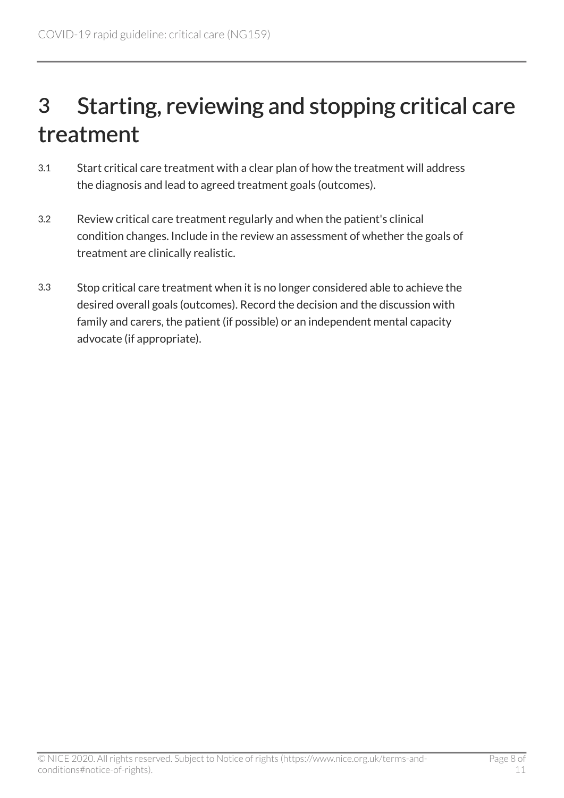# <span id="page-7-0"></span>3 Starting, reviewing and stopping critical care treatment

- 3.1 Start critical care treatment with a clear plan of how the treatment will address the diagnosis and lead to agreed treatment goals (outcomes).
- 3.2 Review critical care treatment regularly and when the patient's clinical condition changes. Include in the review an assessment of whether the goals of treatment are clinically realistic.
- 3.3 Stop critical care treatment when it is no longer considered able to achieve the desired overall goals (outcomes). Record the decision and the discussion with family and carers, the patient (if possible) or an independent mental capacity advocate (if appropriate).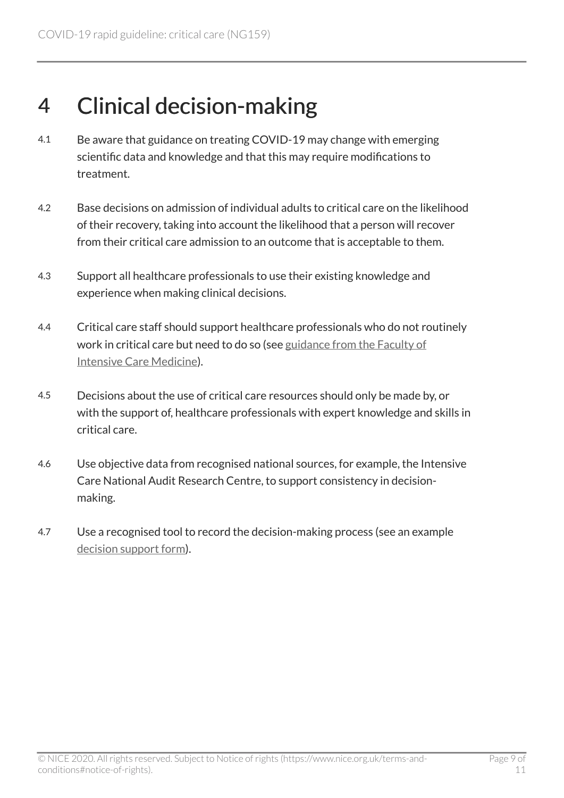### <span id="page-8-0"></span>4 Clinical decision-making

- 4.1 Be aware that guidance on treating COVID-19 may change with emerging scientific data and knowledge and that this may require modifications to treatment.
- 4.2 Base decisions on admission of individual adults to critical care on the likelihood of their recovery, taking into account the likelihood that a person will recover from their critical care admission to an outcome that is acceptable to them.
- 4.3 Support all healthcare professionals to use their existing knowledge and experience when making clinical decisions.
- 4.4 Critical care staff should support healthcare professionals who do not routinely work in critical care but need to do so (see [guidance from the Faculty of](https://icmanaesthesiacovid-19.org/) [Intensive Care Medicine](https://icmanaesthesiacovid-19.org/)).
- 4.5 Decisions about the use of critical care resources should only be made by, or with the support of, healthcare professionals with expert knowledge and skills in critical care.
- 4.6 Use objective data from recognised national sources, for example, the Intensive Care National Audit Research Centre, to support consistency in decisionmaking.
- 4.7 Use a recognised tool to record the decision-making process (see an example [decision support form\)](https://www.ncbi.nlm.nih.gov/books/NBK549970).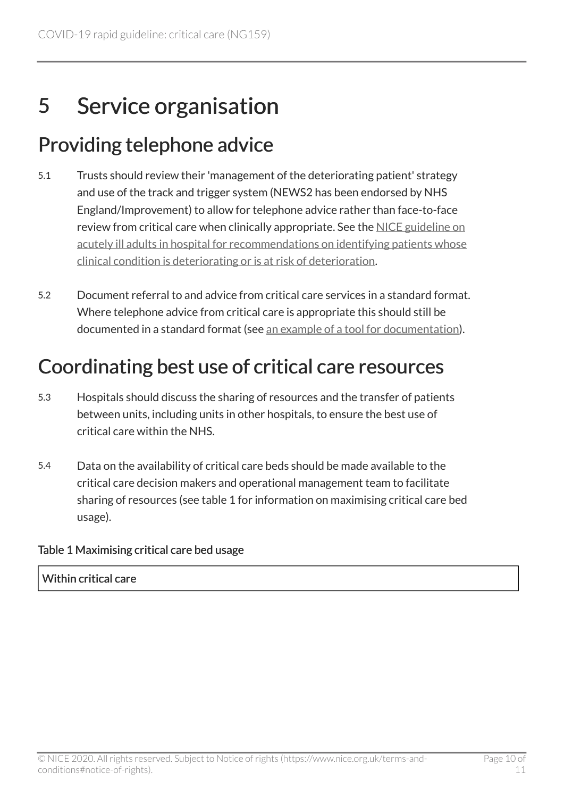# <span id="page-9-0"></span>5 Service organisation

### <span id="page-9-1"></span>Providing telephone advice

- 5.1 Trusts should review their 'management of the deteriorating patient' strategy and use of the track and trigger system (NEWS2 has been endorsed by NHS England/Improvement) to allow for telephone advice rather than face-to-face review from critical care when clinically appropriate. See the [NICE guideline on](https://www.nice.org.uk/guidance/cg50/chapter/1-Guidance#identifying-patients-whose-clinical-condition-is-deteriorating-or-is-at-risk-of-deterioration) [acutely ill adults in hospital for recommendations on identifying patients whose](https://www.nice.org.uk/guidance/cg50/chapter/1-Guidance#identifying-patients-whose-clinical-condition-is-deteriorating-or-is-at-risk-of-deterioration)  [clinical condition is deteriorating or is at risk of deterioration](https://www.nice.org.uk/guidance/cg50/chapter/1-Guidance#identifying-patients-whose-clinical-condition-is-deteriorating-or-is-at-risk-of-deterioration).
- 5.2 Document referral to and advice from critical care services in a standard format. Where telephone advice from critical care is appropriate this should still be documented in a standard format (see [an example of a tool for documentation\)](https://www.ncbi.nlm.nih.gov/books/NBK549950).

### <span id="page-9-2"></span>Coordinating best use of critical care resources

- 5.3 Hospitals should discuss the sharing of resources and the transfer of patients between units, including units in other hospitals, to ensure the best use of critical care within the NHS.
- 5.4 Data on the availability of critical care beds should be made available to the critical care decision makers and operational management team to facilitate sharing of resources (see table 1 for information on maximising critical care bed usage).

#### Table 1 Maximising critical care bed usage

#### Within critical care